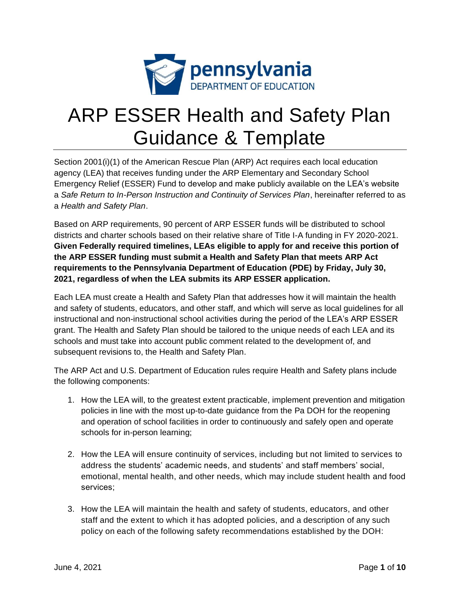

# ARP ESSER Health and Safety Plan Guidance & Template

Section 2001(i)(1) of the American Rescue Plan (ARP) Act requires each local education agency (LEA) that receives funding under the ARP Elementary and Secondary School Emergency Relief (ESSER) Fund to develop and make publicly available on the LEA's website a *Safe Return to In-Person Instruction and Continuity of Services Plan*, hereinafter referred to as a *Health and Safety Plan*.

Based on ARP requirements, 90 percent of ARP ESSER funds will be distributed to school districts and charter schools based on their relative share of Title I-A funding in FY 2020-2021. **Given Federally required timelines, LEAs eligible to apply for and receive this portion of the ARP ESSER funding must submit a Health and Safety Plan that meets ARP Act requirements to the Pennsylvania Department of Education (PDE) by Friday, July 30, 2021, regardless of when the LEA submits its ARP ESSER application.** 

Each LEA must create a Health and Safety Plan that addresses how it will maintain the health and safety of students, educators, and other staff, and which will serve as local guidelines for all instructional and non-instructional school activities during the period of the LEA's ARP ESSER grant. The Health and Safety Plan should be tailored to the unique needs of each LEA and its schools and must take into account public comment related to the development of, and subsequent revisions to, the Health and Safety Plan.

The ARP Act and U.S. Department of Education rules require Health and Safety plans include the following components:

- 1. How the LEA will, to the greatest extent practicable, implement prevention and mitigation policies in line with the most up-to-date guidance from the Pa DOH for the reopening and operation of school facilities in order to continuously and safely open and operate schools for in-person learning;
- 2. How the LEA will ensure continuity of services, including but not limited to services to address the students' academic needs, and students' and staff members' social, emotional, mental health, and other needs, which may include student health and food services;
- 3. How the LEA will maintain the health and safety of students, educators, and other staff and the extent to which it has adopted policies, and a description of any such policy on each of the following safety recommendations established by the DOH: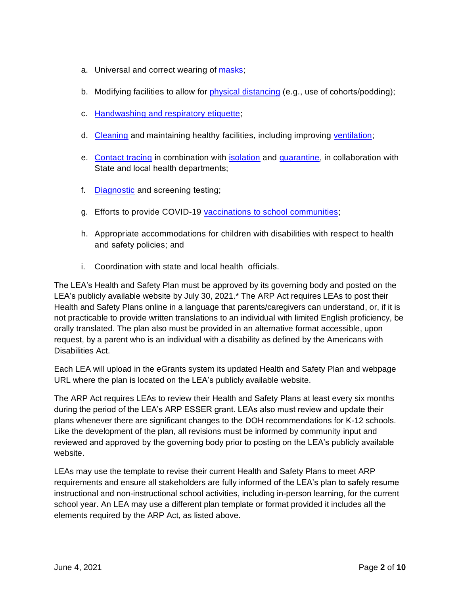- a. Universal and correct wearing of [masks;](https://www.cdc.gov/coronavirus/2019-ncov/prevent-getting-sick/cloth-face-cover-guidance.html?CDC_AA_refVal=https%3A%2F%2Fwww.cdc.gov%2Fcoronavirus%2F2019-ncov%2Fcommunity%2Fschools-childcare%2Fcloth-face-cover.html)
- b. Modifying facilities to allow for [physical distancing](https://www.cdc.gov/coronavirus/2019-ncov/prevent-getting-sick/social-distancing.html) (e.g., use of cohorts/podding);
- c. [Handwashing and respiratory etiquette;](https://www.cdc.gov/handwashing/when-how-handwashing.html)
- d. [Cleaning](https://www.cdc.gov/coronavirus/2019-ncov/community/clean-disinfect/index.html) and maintaining healthy facilities, including improving [ventilation;](https://www.cdc.gov/coronavirus/2019-ncov/community/schools-childcare/ventilation.html)
- e. [Contact tracing](https://www.cdc.gov/coronavirus/2019-ncov/php/contact-tracing/contact-tracing-resources.html?CDC_AA_refVal=https%3A%2F%2Fwww.cdc.gov%2Fcoronavirus%2F2019-ncov%2Fphp%2Fopen-america%2Fcontact-tracing-resources.html) in combination with [isolation](https://www.cdc.gov/coronavirus/2019-ncov/if-you-are-sick/isolation.html) and [quarantine,](https://www.cdc.gov/coronavirus/2019-ncov/if-you-are-sick/quarantine.html) in collaboration with State and local health departments;
- f. [Diagnostic](https://www.cdc.gov/coronavirus/2019-ncov/lab/pooling-procedures.html) and screening testing;
- g. Efforts to provide COVID-19 [vaccinations to school communities;](https://www.cdc.gov/coronavirus/2019-ncov/vaccines/toolkits/schools-childcare.html)
- h. Appropriate accommodations for children with disabilities with respect to health and safety policies; and
- i. Coordination with state and local health officials.

The LEA's Health and Safety Plan must be approved by its governing body and posted on the LEA's publicly available website by July 30, 2021.\* The ARP Act requires LEAs to post their Health and Safety Plans online in a language that parents/caregivers can understand, or, if it is not practicable to provide written translations to an individual with limited English proficiency, be orally translated. The plan also must be provided in an alternative format accessible, upon request, by a parent who is an individual with a disability as defined by the Americans with Disabilities Act.

Each LEA will upload in the eGrants system its updated Health and Safety Plan and webpage URL where the plan is located on the LEA's publicly available website.

The ARP Act requires LEAs to review their Health and Safety Plans at least every six months during the period of the LEA's ARP ESSER grant. LEAs also must review and update their plans whenever there are significant changes to the DOH recommendations for K-12 schools. Like the development of the plan, all revisions must be informed by community input and reviewed and approved by the governing body prior to posting on the LEA's publicly available website.

LEAs may use the template to revise their current Health and Safety Plans to meet ARP requirements and ensure all stakeholders are fully informed of the LEA's plan to safely resume instructional and non-instructional school activities, including in-person learning, for the current school year. An LEA may use a different plan template or format provided it includes all the elements required by the ARP Act, as listed above.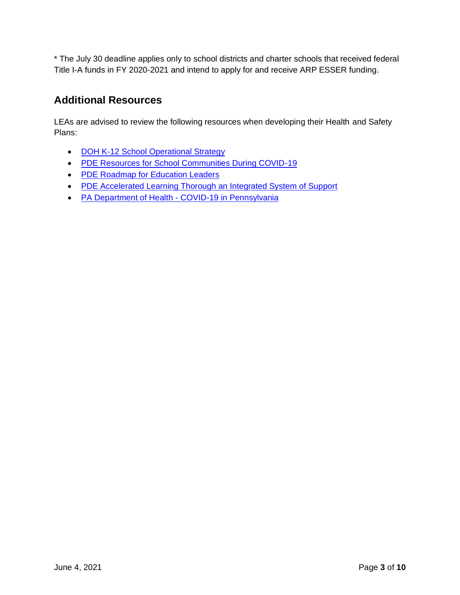\* The July 30 deadline applies only to school districts and charter schools that received federal Title I-A funds in FY 2020-2021 and intend to apply for and receive ARP ESSER funding.

## **Additional Resources**

LEAs are advised to review the following resources when developing their Health and Safety Plans:

- DOH [K-12 School Operational Strategy](https://www.cdc.gov/coronavirus/2019-ncov/community/schools-childcare/operation-strategy.html?CDC_AA_refVal=https%3A%2F%2Fwww.cdc.gov%2Fcoronavirus%2F2019-ncov%2Fcommunity%2Fschools-childcare%2Fschools.html)
- [PDE Resources for School Communities During COVID-19](https://www.education.pa.gov/Schools/safeschools/emergencyplanning/COVID-19/Pages/default.aspx)
- [PDE Roadmap for Education Leaders](https://www.education.pa.gov/Schools/safeschools/emergencyplanning/COVID-19/SchoolReopeningGuidance/ReopeningPreKto12/CreatingEquitableSchoolSystems/Pages/default.aspx)
- [PDE Accelerated Learning Thorough an Integrated System of Support](https://www.education.pa.gov/Schools/safeschools/emergencyplanning/COVID-19/SchoolReopeningGuidance/ReopeningPreKto12/CreatingEquitableSchoolSystems/AcceleratedLearning/Pages/default.aspx)
- PA Department of Health [COVID-19 in Pennsylvania](https://www.health.pa.gov/topics/disease/coronavirus/Pages/Coronavirus.aspx)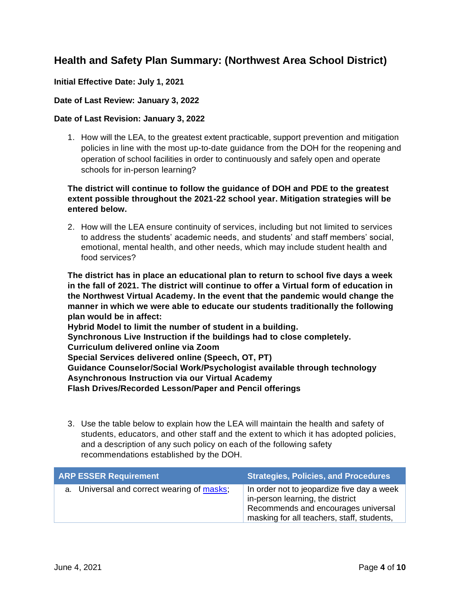# **Health and Safety Plan Summary: (Northwest Area School District)**

### **Initial Effective Date: July 1, 2021**

#### **Date of Last Review: January 3, 2022**

#### **Date of Last Revision: January 3, 2022**

1. How will the LEA, to the greatest extent practicable, support prevention and mitigation policies in line with the most up-to-date guidance from the DOH for the reopening and operation of school facilities in order to continuously and safely open and operate schools for in-person learning?

## **The district will continue to follow the guidance of DOH and PDE to the greatest extent possible throughout the 2021-22 school year. Mitigation strategies will be entered below.**

2. How will the LEA ensure continuity of services, including but not limited to services to address the students' academic needs, and students' and staff members' social, emotional, mental health, and other needs, which may include student health and food services?

**The district has in place an educational plan to return to school five days a week in the fall of 2021. The district will continue to offer a Virtual form of education in the Northwest Virtual Academy. In the event that the pandemic would change the manner in which we were able to educate our students traditionally the following plan would be in affect:** 

**Hybrid Model to limit the number of student in a building.** 

**Synchronous Live Instruction if the buildings had to close completely.** 

**Curriculum delivered online via Zoom** 

**Special Services delivered online (Speech, OT, PT)** 

**Guidance Counselor/Social Work/Psychologist available through technology**

**Asynchronous Instruction via our Virtual Academy** 

**Flash Drives/Recorded Lesson/Paper and Pencil offerings**

3. Use the table below to explain how the LEA will maintain the health and safety of students, educators, and other staff and the extent to which it has adopted policies, and a description of any such policy on each of the following safety recommendations established by the DOH.

| <b>ARP ESSER Requirement</b>               | <b>Strategies, Policies, and Procedures</b>                                                                                                                         |
|--------------------------------------------|---------------------------------------------------------------------------------------------------------------------------------------------------------------------|
| a. Universal and correct wearing of masks; | In order not to jeopardize five day a week<br>in-person learning, the district<br>Recommends and encourages universal<br>masking for all teachers, staff, students, |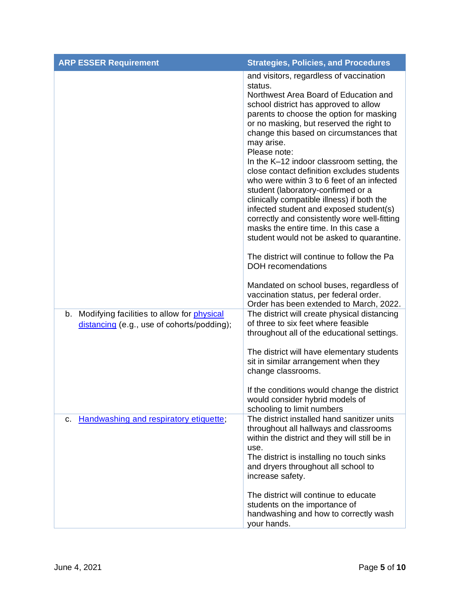| <b>ARP ESSER Requirement</b>                                                                       | <b>Strategies, Policies, and Procedures</b>                                                                                                                                                                                                                                                                                                                                                                                                                                                                                                                                                                                                                                                                                                                                                                                                                                          |
|----------------------------------------------------------------------------------------------------|--------------------------------------------------------------------------------------------------------------------------------------------------------------------------------------------------------------------------------------------------------------------------------------------------------------------------------------------------------------------------------------------------------------------------------------------------------------------------------------------------------------------------------------------------------------------------------------------------------------------------------------------------------------------------------------------------------------------------------------------------------------------------------------------------------------------------------------------------------------------------------------|
|                                                                                                    | and visitors, regardless of vaccination<br>status.<br>Northwest Area Board of Education and<br>school district has approved to allow<br>parents to choose the option for masking<br>or no masking, but reserved the right to<br>change this based on circumstances that<br>may arise.<br>Please note:<br>In the K-12 indoor classroom setting, the<br>close contact definition excludes students<br>who were within 3 to 6 feet of an infected<br>student (laboratory-confirmed or a<br>clinically compatible illness) if both the<br>infected student and exposed student(s)<br>correctly and consistently wore well-fitting<br>masks the entire time. In this case a<br>student would not be asked to quarantine.<br>The district will continue to follow the Pa<br><b>DOH</b> recomendations<br>Mandated on school buses, regardless of<br>vaccination status, per federal order. |
| b. Modifying facilities to allow for <i>physical</i><br>distancing (e.g., use of cohorts/podding); | Order has been extended to March, 2022.<br>The district will create physical distancing<br>of three to six feet where feasible<br>throughout all of the educational settings.<br>The district will have elementary students<br>sit in similar arrangement when they<br>change classrooms.<br>If the conditions would change the district<br>would consider hybrid models of<br>schooling to limit numbers                                                                                                                                                                                                                                                                                                                                                                                                                                                                            |
| Handwashing and respiratory etiquette;<br>c.                                                       | The district installed hand sanitizer units<br>throughout all hallways and classrooms<br>within the district and they will still be in<br>use.<br>The district is installing no touch sinks<br>and dryers throughout all school to<br>increase safety.<br>The district will continue to educate<br>students on the importance of<br>handwashing and how to correctly wash<br>your hands.                                                                                                                                                                                                                                                                                                                                                                                                                                                                                             |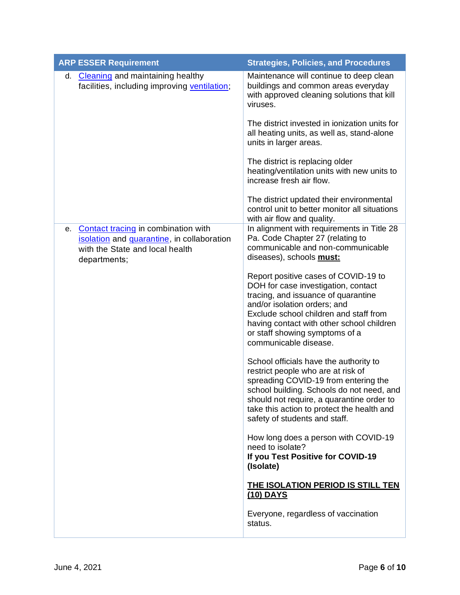| <b>ARP ESSER Requirement</b>                                                                                                               | <b>Strategies, Policies, and Procedures</b>                                                                                                                                                                                                                                                          |
|--------------------------------------------------------------------------------------------------------------------------------------------|------------------------------------------------------------------------------------------------------------------------------------------------------------------------------------------------------------------------------------------------------------------------------------------------------|
| <b>Cleaning and maintaining healthy</b><br>d.<br>facilities, including improving ventilation;                                              | Maintenance will continue to deep clean<br>buildings and common areas everyday<br>with approved cleaning solutions that kill<br>viruses.                                                                                                                                                             |
|                                                                                                                                            | The district invested in ionization units for<br>all heating units, as well as, stand-alone<br>units in larger areas.                                                                                                                                                                                |
|                                                                                                                                            | The district is replacing older<br>heating/ventilation units with new units to<br>increase fresh air flow.                                                                                                                                                                                           |
|                                                                                                                                            | The district updated their environmental<br>control unit to better monitor all situations<br>with air flow and quality.                                                                                                                                                                              |
| Contact tracing in combination with<br>е.<br>isolation and quarantine, in collaboration<br>with the State and local health<br>departments; | In alignment with requirements in Title 28<br>Pa. Code Chapter 27 (relating to<br>communicable and non-communicable<br>diseases), schools must:                                                                                                                                                      |
|                                                                                                                                            | Report positive cases of COVID-19 to<br>DOH for case investigation, contact<br>tracing, and issuance of quarantine<br>and/or isolation orders; and<br>Exclude school children and staff from<br>having contact with other school children<br>or staff showing symptoms of a<br>communicable disease. |
|                                                                                                                                            | School officials have the authority to<br>restrict people who are at risk of<br>spreading COVID-19 from entering the<br>school building. Schools do not need, and<br>should not require, a quarantine order to<br>take this action to protect the health and<br>safety of students and staff.        |
|                                                                                                                                            | How long does a person with COVID-19<br>need to isolate?<br>If you Test Positive for COVID-19<br>(Isolate)                                                                                                                                                                                           |
|                                                                                                                                            | THE ISOLATION PERIOD IS STILL TEN<br>(10) DAYS                                                                                                                                                                                                                                                       |
|                                                                                                                                            | Everyone, regardless of vaccination<br>status.                                                                                                                                                                                                                                                       |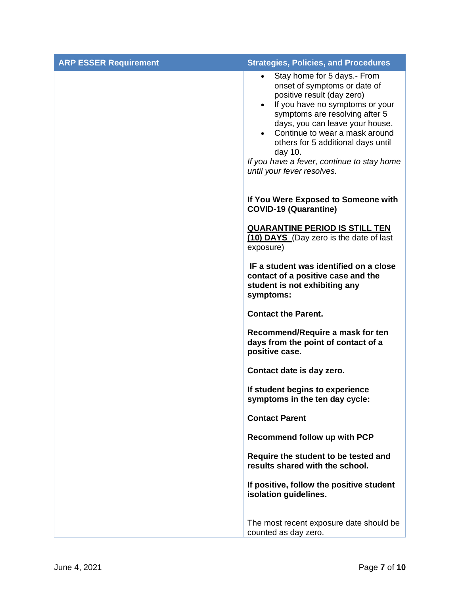| <b>ARP ESSER Requirement</b> | <b>Strategies, Policies, and Procedures</b>                                                                                                                                                                                                                                                                                                                                   |
|------------------------------|-------------------------------------------------------------------------------------------------------------------------------------------------------------------------------------------------------------------------------------------------------------------------------------------------------------------------------------------------------------------------------|
|                              | Stay home for 5 days.- From<br>$\bullet$<br>onset of symptoms or date of<br>positive result (day zero)<br>If you have no symptoms or your<br>symptoms are resolving after 5<br>days, you can leave your house.<br>Continue to wear a mask around<br>others for 5 additional days until<br>day 10.<br>If you have a fever, continue to stay home<br>until your fever resolves. |
|                              | If You Were Exposed to Someone with<br><b>COVID-19 (Quarantine)</b>                                                                                                                                                                                                                                                                                                           |
|                              | <b>QUARANTINE PERIOD IS STILL TEN</b><br>(10) DAYS (Day zero is the date of last<br>exposure)                                                                                                                                                                                                                                                                                 |
|                              | IF a student was identified on a close<br>contact of a positive case and the<br>student is not exhibiting any<br>symptoms:                                                                                                                                                                                                                                                    |
|                              | <b>Contact the Parent.</b>                                                                                                                                                                                                                                                                                                                                                    |
|                              | Recommend/Require a mask for ten<br>days from the point of contact of a<br>positive case.                                                                                                                                                                                                                                                                                     |
|                              | Contact date is day zero.                                                                                                                                                                                                                                                                                                                                                     |
|                              | If student begins to experience<br>symptoms in the ten day cycle:                                                                                                                                                                                                                                                                                                             |
|                              | <b>Contact Parent</b>                                                                                                                                                                                                                                                                                                                                                         |
|                              | Recommend follow up with PCP                                                                                                                                                                                                                                                                                                                                                  |
|                              | Require the student to be tested and<br>results shared with the school.                                                                                                                                                                                                                                                                                                       |
|                              | If positive, follow the positive student<br>isolation guidelines.                                                                                                                                                                                                                                                                                                             |
|                              | The most recent exposure date should be<br>counted as day zero.                                                                                                                                                                                                                                                                                                               |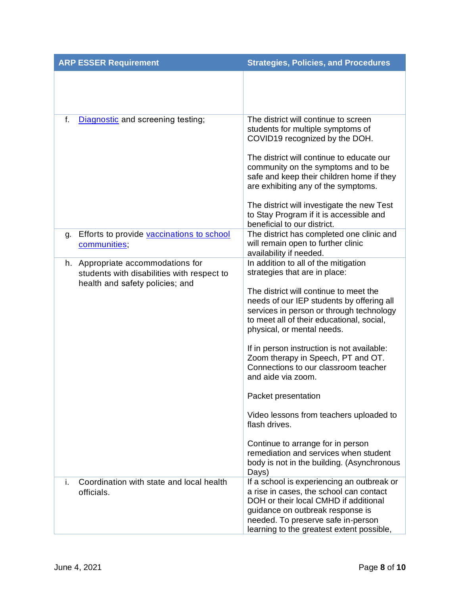|    | <b>ARP ESSER Requirement</b>                                                                                       | <b>Strategies, Policies, and Procedures</b>                                                                                                                                                                                                                                                                                                                                                                                                                                                                                                                                                                                                                   |
|----|--------------------------------------------------------------------------------------------------------------------|---------------------------------------------------------------------------------------------------------------------------------------------------------------------------------------------------------------------------------------------------------------------------------------------------------------------------------------------------------------------------------------------------------------------------------------------------------------------------------------------------------------------------------------------------------------------------------------------------------------------------------------------------------------|
|    |                                                                                                                    |                                                                                                                                                                                                                                                                                                                                                                                                                                                                                                                                                                                                                                                               |
| f. | Diagnostic and screening testing;                                                                                  | The district will continue to screen<br>students for multiple symptoms of<br>COVID19 recognized by the DOH.<br>The district will continue to educate our<br>community on the symptoms and to be<br>safe and keep their children home if they<br>are exhibiting any of the symptoms.<br>The district will investigate the new Test<br>to Stay Program if it is accessible and<br>beneficial to our district.                                                                                                                                                                                                                                                   |
| q. | Efforts to provide vaccinations to school<br>communities;                                                          | The district has completed one clinic and<br>will remain open to further clinic<br>availability if needed.                                                                                                                                                                                                                                                                                                                                                                                                                                                                                                                                                    |
|    | h. Appropriate accommodations for<br>students with disabilities with respect to<br>health and safety policies; and | In addition to all of the mitigation<br>strategies that are in place:<br>The district will continue to meet the<br>needs of our IEP students by offering all<br>services in person or through technology<br>to meet all of their educational, social,<br>physical, or mental needs.<br>If in person instruction is not available:<br>Zoom therapy in Speech, PT and OT.<br>Connections to our classroom teacher<br>and aide via zoom.<br>Packet presentation<br>Video lessons from teachers uploaded to<br>flash drives.<br>Continue to arrange for in person<br>remediation and services when student<br>body is not in the building. (Asynchronous<br>Days) |
| i. | Coordination with state and local health<br>officials.                                                             | If a school is experiencing an outbreak or<br>a rise in cases, the school can contact<br>DOH or their local CMHD if additional<br>guidance on outbreak response is<br>needed. To preserve safe in-person<br>learning to the greatest extent possible,                                                                                                                                                                                                                                                                                                                                                                                                         |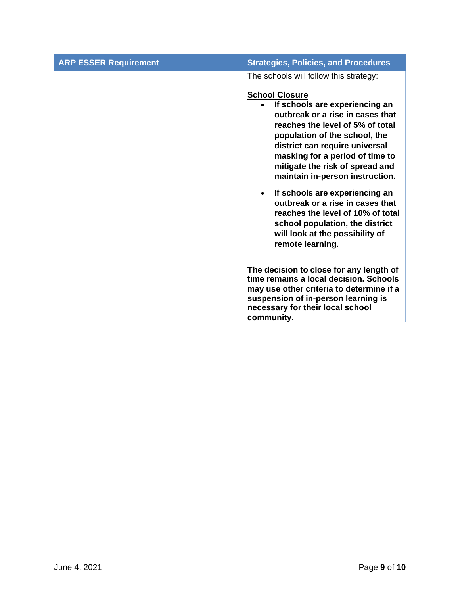| <b>ARP ESSER Requirement</b> | <b>Strategies, Policies, and Procedures</b>                                                                                                                                                                                                                                                                                                                                                                                                                                                               |
|------------------------------|-----------------------------------------------------------------------------------------------------------------------------------------------------------------------------------------------------------------------------------------------------------------------------------------------------------------------------------------------------------------------------------------------------------------------------------------------------------------------------------------------------------|
|                              | The schools will follow this strategy:                                                                                                                                                                                                                                                                                                                                                                                                                                                                    |
|                              | <b>School Closure</b><br>If schools are experiencing an<br>outbreak or a rise in cases that<br>reaches the level of 5% of total<br>population of the school, the<br>district can require universal<br>masking for a period of time to<br>mitigate the risk of spread and<br>maintain in-person instruction.<br>If schools are experiencing an<br>$\bullet$<br>outbreak or a rise in cases that<br>reaches the level of 10% of total<br>school population, the district<br>will look at the possibility of |
|                              | remote learning.                                                                                                                                                                                                                                                                                                                                                                                                                                                                                          |
|                              | The decision to close for any length of<br>time remains a local decision. Schools<br>may use other criteria to determine if a<br>suspension of in-person learning is<br>necessary for their local school<br>community.                                                                                                                                                                                                                                                                                    |